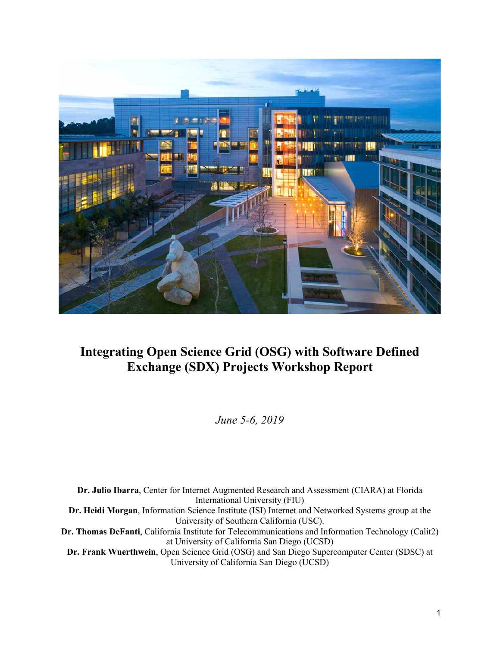

# **Integrating Open Science Grid (OSG) with Software Defined Exchange (SDX) Projects Workshop Report**

*June 5-6, 2019*

**Dr. Julio Ibarra**, Center for Internet Augmented Research and Assessment (CIARA) at Florida International University (FIU) **Dr. Heidi Morgan**, Information Science Institute (ISI) Internet and Networked Systems group at the University of Southern California (USC). **Dr. Thomas DeFanti**, California Institute for Telecommunications and Information Technology (Calit2) at University of California San Diego (UCSD) **Dr. Frank Wuerthwein**, Open Science Grid (OSG) and San Diego Supercomputer Center (SDSC) at University of California San Diego (UCSD)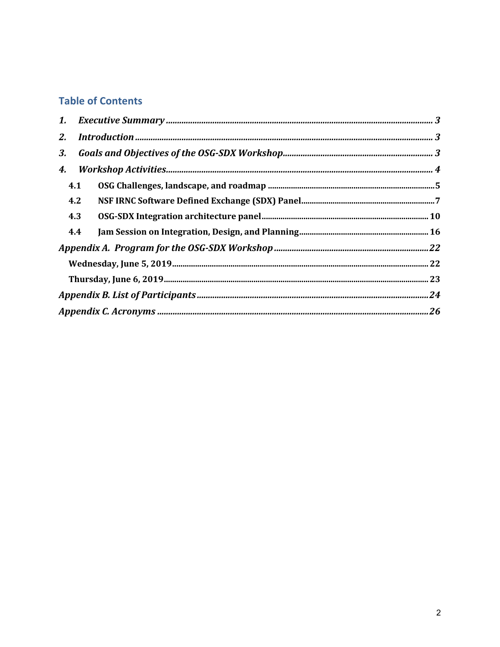## **Table of Contents**

| 1.        |     |  |  |  |  |
|-----------|-----|--|--|--|--|
| <b>2.</b> |     |  |  |  |  |
| 3.        |     |  |  |  |  |
| 4.        |     |  |  |  |  |
|           | 4.1 |  |  |  |  |
|           | 4.2 |  |  |  |  |
|           | 4.3 |  |  |  |  |
|           | 4.4 |  |  |  |  |
|           |     |  |  |  |  |
|           |     |  |  |  |  |
|           |     |  |  |  |  |
|           |     |  |  |  |  |
|           |     |  |  |  |  |
|           |     |  |  |  |  |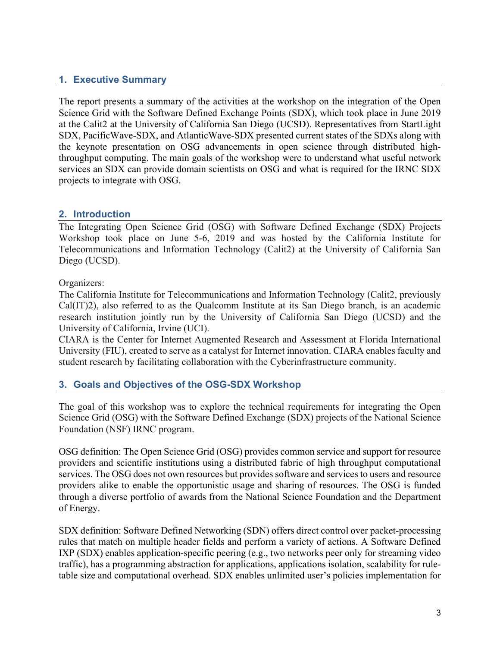## **1. Executive Summary**

The report presents a summary of the activities at the workshop on the integration of the Open Science Grid with the Software Defined Exchange Points (SDX), which took place in June 2019 at the Calit2 at the University of California San Diego (UCSD). Representatives from StartLight SDX, PacificWave-SDX, and AtlanticWave-SDX presented current states of the SDXs along with the keynote presentation on OSG advancements in open science through distributed highthroughput computing. The main goals of the workshop were to understand what useful network services an SDX can provide domain scientists on OSG and what is required for the IRNC SDX projects to integrate with OSG.

## **2. Introduction**

The Integrating Open Science Grid (OSG) with Software Defined Exchange (SDX) Projects Workshop took place on June 5-6, 2019 and was hosted by the California Institute for Telecommunications and Information Technology (Calit2) at the University of California San Diego (UCSD).

## Organizers:

The California Institute for Telecommunications and Information Technology (Calit2, previously Cal(IT)2), also referred to as the Qualcomm Institute at its San Diego branch, is an academic research institution jointly run by the University of California San Diego (UCSD) and the University of California, Irvine (UCI).

CIARA is the Center for Internet Augmented Research and Assessment at Florida International University (FIU), created to serve as a catalyst for Internet innovation. CIARA enables faculty and student research by facilitating collaboration with the Cyberinfrastructure community.

## **3. Goals and Objectives of the OSG-SDX Workshop**

The goal of this workshop was to explore the technical requirements for integrating the Open Science Grid (OSG) with the Software Defined Exchange (SDX) projects of the National Science Foundation (NSF) IRNC program.

OSG definition: The Open Science Grid (OSG) provides common service and support for resource providers and scientific institutions using a distributed fabric of high throughput computational services. The OSG does not own resources but provides software and services to users and resource providers alike to enable the opportunistic usage and sharing of resources. The OSG is funded through a diverse portfolio of awards from the National Science Foundation and the Department of Energy.

SDX definition: Software Defined Networking (SDN) offers direct control over packet-processing rules that match on multiple header fields and perform a variety of actions. A Software Defined IXP (SDX) enables application-specific peering (e.g., two networks peer only for streaming video traffic), has a programming abstraction for applications, applications isolation, scalability for ruletable size and computational overhead. SDX enables unlimited user's policies implementation for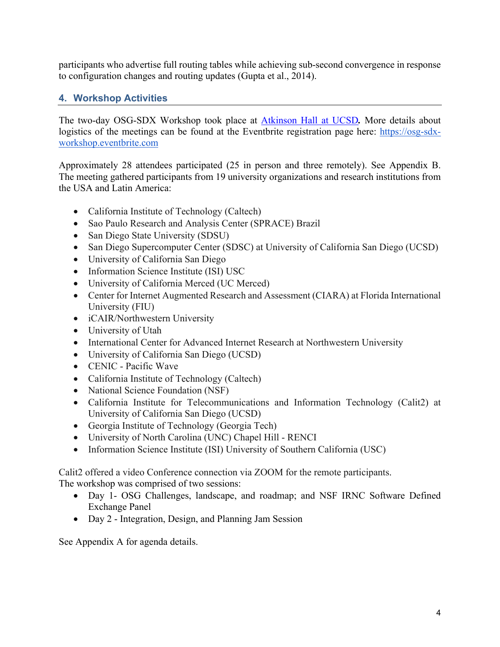participants who advertise full routing tables while achieving sub-second convergence in response to configuration changes and routing updates (Gupta et al., 2014).

## **4. Workshop Activities**

The two-day OSG-SDX Workshop took place at Atkinson Hall at UCSD*.* More details about logistics of the meetings can be found at the Eventbrite registration page here: https://osg-sdxworkshop.eventbrite.com

Approximately 28 attendees participated (25 in person and three remotely). See Appendix B. The meeting gathered participants from 19 university organizations and research institutions from the USA and Latin America:

- California Institute of Technology (Caltech)
- Sao Paulo Research and Analysis Center (SPRACE) Brazil
- San Diego State University (SDSU)
- San Diego Supercomputer Center (SDSC) at University of California San Diego (UCSD)
- University of California San Diego
- Information Science Institute (ISI) USC
- University of California Merced (UC Merced)
- Center for Internet Augmented Research and Assessment (CIARA) at Florida International University (FIU)
- iCAIR/Northwestern University
- University of Utah
- International Center for Advanced Internet Research at Northwestern University
- University of California San Diego (UCSD)
- CENIC Pacific Wave
- California Institute of Technology (Caltech)
- National Science Foundation (NSF)
- California Institute for Telecommunications and Information Technology (Calit2) at University of California San Diego (UCSD)
- Georgia Institute of Technology (Georgia Tech)
- University of North Carolina (UNC) Chapel Hill RENCI
- Information Science Institute (ISI) University of Southern California (USC)

Calit2 offered a video Conference connection via ZOOM for the remote participants. The workshop was comprised of two sessions:

- Day 1- OSG Challenges, landscape, and roadmap; and NSF IRNC Software Defined Exchange Panel
- Day 2 Integration, Design, and Planning Jam Session

See Appendix A for agenda details.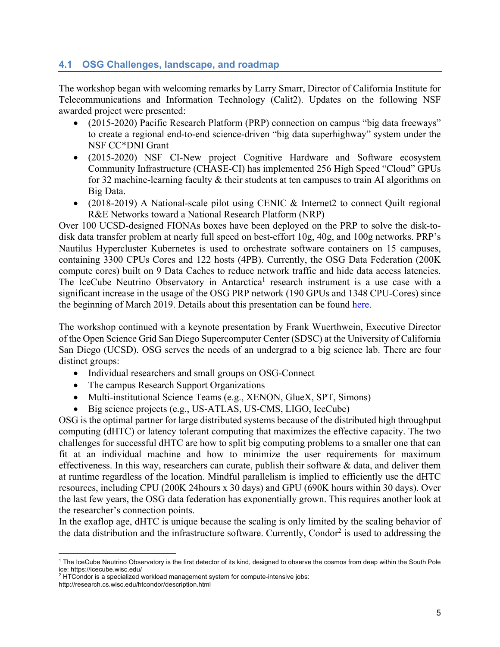## **4.1 OSG Challenges, landscape, and roadmap**

The workshop began with welcoming remarks by Larry Smarr, Director of California Institute for Telecommunications and Information Technology (Calit2). Updates on the following NSF awarded project were presented:

- (2015-2020) Pacific Research Platform (PRP) connection on campus "big data freeways" to create a regional end-to-end science-driven "big data superhighway" system under the NSF CC\*DNI Grant
- (2015-2020) NSF CI-New project Cognitive Hardware and Software ecosystem Community Infrastructure (CHASE-CI) has implemented 256 High Speed "Cloud" GPUs for 32 machine-learning faculty & their students at ten campuses to train AI algorithms on Big Data.
- (2018-2019) A National-scale pilot using CENIC & Internet 2 to connect Quilt regional R&E Networks toward a National Research Platform (NRP)

Over 100 UCSD-designed FIONAs boxes have been deployed on the PRP to solve the disk-todisk data transfer problem at nearly full speed on best-effort 10g, 40g, and 100g networks. PRP's Nautilus Hypercluster Kubernetes is used to orchestrate software containers on 15 campuses, containing 3300 CPUs Cores and 122 hosts (4PB). Currently, the OSG Data Federation (200K compute cores) built on 9 Data Caches to reduce network traffic and hide data access latencies. The IceCube Neutrino Observatory in Antarctica<sup>1</sup> research instrument is a use case with a significant increase in the usage of the OSG PRP network (190 GPUs and 1348 CPU-Cores) since the beginning of March 2019. Details about this presentation can be found here.

The workshop continued with a keynote presentation by Frank Wuerthwein, Executive Director of the Open Science Grid San Diego Supercomputer Center (SDSC) at the University of California San Diego (UCSD). OSG serves the needs of an undergrad to a big science lab. There are four distinct groups:

- Individual researchers and small groups on OSG-Connect
- The campus Research Support Organizations
- Multi-institutional Science Teams (e.g., XENON, GlueX, SPT, Simons)
- Big science projects (e.g., US-ATLAS, US-CMS, LIGO, IceCube)

OSG is the optimal partner for large distributed systems because of the distributed high throughput computing (dHTC) or latency tolerant computing that maximizes the effective capacity. The two challenges for successful dHTC are how to split big computing problems to a smaller one that can fit at an individual machine and how to minimize the user requirements for maximum effectiveness. In this way, researchers can curate, publish their software & data, and deliver them at runtime regardless of the location. Mindful parallelism is implied to efficiently use the dHTC resources, including CPU (200K 24hours x 30 days) and GPU (690K hours within 30 days). Over the last few years, the OSG data federation has exponentially grown. This requires another look at the researcher's connection points.

In the exaflop age, dHTC is unique because the scaling is only limited by the scaling behavior of the data distribution and the infrastructure software. Currently, Condor<sup>2</sup> is used to addressing the

<sup>&</sup>lt;sup>1</sup> The IceCube Neutrino Observatory is the first detector of its kind, designed to observe the cosmos from deep within the South Pole ice: https://icecube.wisc.edu/

<sup>&</sup>lt;sup>2</sup> HTCondor is a specialized workload management system for compute-intensive jobs: http://research.cs.wisc.edu/htcondor/description.html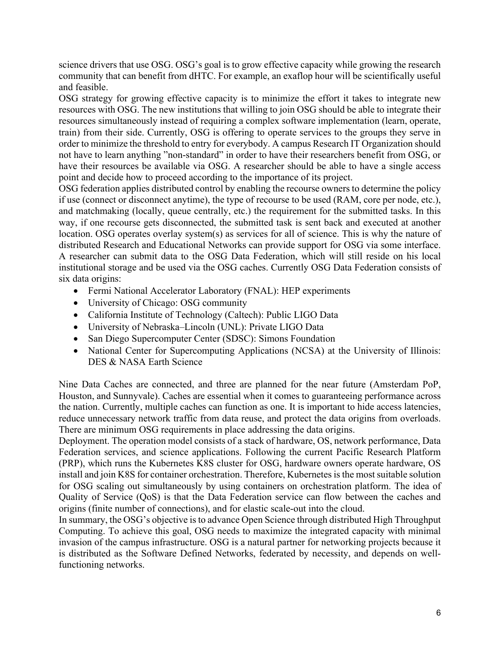science drivers that use OSG. OSG's goal is to grow effective capacity while growing the research community that can benefit from dHTC. For example, an exaflop hour will be scientifically useful and feasible.

OSG strategy for growing effective capacity is to minimize the effort it takes to integrate new resources with OSG. The new institutions that willing to join OSG should be able to integrate their resources simultaneously instead of requiring a complex software implementation (learn, operate, train) from their side. Currently, OSG is offering to operate services to the groups they serve in order to minimize the threshold to entry for everybody. A campus Research IT Organization should not have to learn anything "non-standard" in order to have their researchers benefit from OSG, or have their resources be available via OSG. A researcher should be able to have a single access point and decide how to proceed according to the importance of its project.

OSG federation applies distributed control by enabling the recourse owners to determine the policy if use (connect or disconnect anytime), the type of recourse to be used (RAM, core per node, etc.), and matchmaking (locally, queue centrally, etc.) the requirement for the submitted tasks. In this way, if one recourse gets disconnected, the submitted task is sent back and executed at another location. OSG operates overlay system(s) as services for all of science. This is why the nature of distributed Research and Educational Networks can provide support for OSG via some interface. A researcher can submit data to the OSG Data Federation, which will still reside on his local institutional storage and be used via the OSG caches. Currently OSG Data Federation consists of six data origins:

- Fermi National Accelerator Laboratory (FNAL): HEP experiments
- University of Chicago: OSG community
- California Institute of Technology (Caltech): Public LIGO Data
- University of Nebraska–Lincoln (UNL): Private LIGO Data
- San Diego Supercomputer Center (SDSC): Simons Foundation
- National Center for Supercomputing Applications (NCSA) at the University of Illinois: DES & NASA Earth Science

Nine Data Caches are connected, and three are planned for the near future (Amsterdam PoP, Houston, and Sunnyvale). Caches are essential when it comes to guaranteeing performance across the nation. Currently, multiple caches can function as one. It is important to hide access latencies, reduce unnecessary network traffic from data reuse, and protect the data origins from overloads. There are minimum OSG requirements in place addressing the data origins.

Deployment. The operation model consists of a stack of hardware, OS, network performance, Data Federation services, and science applications. Following the current Pacific Research Platform (PRP), which runs the Kubernetes K8S cluster for OSG, hardware owners operate hardware, OS install and join K8S for container orchestration. Therefore, Kubernetes is the most suitable solution for OSG scaling out simultaneously by using containers on orchestration platform. The idea of Quality of Service (QoS) is that the Data Federation service can flow between the caches and origins (finite number of connections), and for elastic scale-out into the cloud.

In summary, the OSG's objective is to advance Open Science through distributed High Throughput Computing. To achieve this goal, OSG needs to maximize the integrated capacity with minimal invasion of the campus infrastructure. OSG is a natural partner for networking projects because it is distributed as the Software Defined Networks, federated by necessity, and depends on wellfunctioning networks.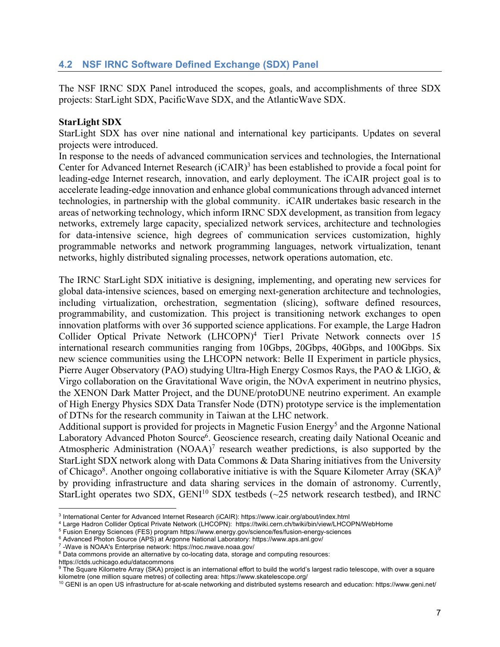## **4.2 NSF IRNC Software Defined Exchange (SDX) Panel**

The NSF IRNC SDX Panel introduced the scopes, goals, and accomplishments of three SDX projects: StarLight SDX, PacificWave SDX, and the AtlanticWave SDX.

#### **StarLight SDX**

StarLight SDX has over nine national and international key participants. Updates on several projects were introduced.

In response to the needs of advanced communication services and technologies, the International Center for Advanced Internet Research (iCAIR)<sup>3</sup> has been established to provide a focal point for leading-edge Internet research, innovation, and early deployment. The iCAIR project goal is to accelerate leading-edge innovation and enhance global communications through advanced internet technologies, in partnership with the global community. iCAIR undertakes basic research in the areas of networking technology, which inform IRNC SDX development, as transition from legacy networks, extremely large capacity, specialized network services, architecture and technologies for data-intensive science, high degrees of communication services customization, highly programmable networks and network programming languages, network virtualization, tenant networks, highly distributed signaling processes, network operations automation, etc.

The IRNC StarLight SDX initiative is designing, implementing, and operating new services for global data-intensive sciences, based on emerging next-generation architecture and technologies, including virtualization, orchestration, segmentation (slicing), software defined resources, programmability, and customization. This project is transitioning network exchanges to open innovation platforms with over 36 supported science applications. For example, the Large Hadron Collider Optical Private Network (LHCOPN)4 Tier1 Private Network connects over 15 international research communities ranging from 10Gbps, 20Gbps, 40Gbps, and 100Gbps. Six new science communities using the LHCOPN network: Belle II Experiment in particle physics, Pierre Auger Observatory (PAO) studying Ultra-High Energy Cosmos Rays, the PAO & LIGO, & Virgo collaboration on the Gravitational Wave origin, the NOvA experiment in neutrino physics, the XENON Dark Matter Project, and the DUNE/protoDUNE neutrino experiment. An example of High Energy Physics SDX Data Transfer Node (DTN) prototype service is the implementation of DTNs for the research community in Taiwan at the LHC network.

Additional support is provided for projects in Magnetic Fusion Energy<sup>5</sup> and the Argonne National Laboratory Advanced Photon Source<sup>6</sup>. Geoscience research, creating daily National Oceanic and Atmospheric Administration  $(NOAA)^7$  research weather predictions, is also supported by the StarLight SDX network along with Data Commons & Data Sharing initiatives from the University of Chicago<sup>8</sup>. Another ongoing collaborative initiative is with the Square Kilometer Array (SKA)<sup>9</sup> by providing infrastructure and data sharing services in the domain of astronomy. Currently, StarLight operates two SDX, GENI<sup>10</sup> SDX testbeds ( $\sim$ 25 network research testbed), and IRNC

https://ctds.uchicago.edu/datacommons

<sup>&</sup>lt;sup>3</sup> International Center for Advanced Internet Research (iCAIR): https://www.icair.org/about/index.html

<sup>4</sup> Large Hadron Collider Optical Private Network (LHCOPN): https://twiki.cern.ch/twiki/bin/view/LHCOPN/WebHome

<sup>5</sup> Fusion Energy Sciences (FES) program https://www.energy.gov/science/fes/fusion-energy-sciences

<sup>6</sup> Advanced Photon Source (APS) at Argonne National Laboratory: https://www.aps.anl.gov/

<sup>7</sup> -Wave is NOAA's Enterprise network: https://noc.nwave.noaa.gov/

<sup>&</sup>lt;sup>8</sup> Data commons provide an alternative by co-locating data, storage and computing resources:

<sup>&</sup>lt;sup>9</sup> The Square Kilometre Array (SKA) project is an international effort to build the world's largest radio telescope, with over a square kilometre (one million square metres) of collecting area: https://www.skatelescope.org/

 $10$  GENI is an open US infrastructure for at-scale networking and distributed systems research and education: https://www.geni.net/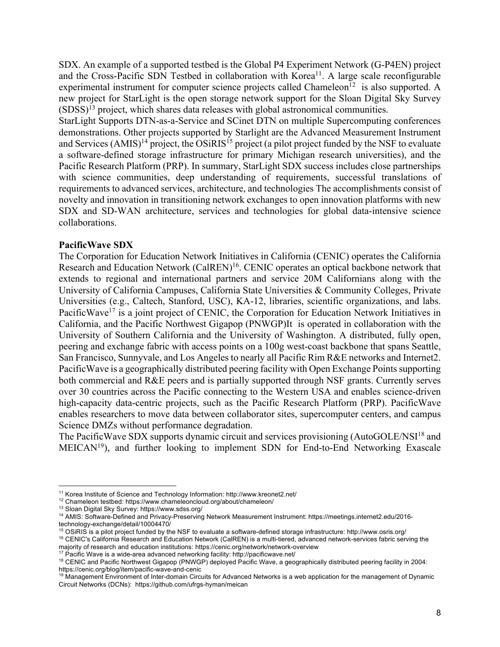SDX. An example of a supported testbed is the Global P4 Experiment Network (G-P4EN) project and the Cross-Pacific SDN Testbed in collaboration with Korea<sup>11</sup>. A large scale reconfigurable experimental instrument for computer science projects called Chameleon<sup>12</sup> is also supported. A new project for StarLight is the open storage network support for the Sloan Digital Sky Survey  $(SDSS)^{13}$  project, which shares data releases with global astronomical communities.

StarLight Supports DTN-as-a-Service and SCinet DTN on multiple Supercomputing conferences demonstrations. Other projects supported by Starlight are the Advanced Measurement Instrument and Services  $(AMIS)^{14}$  project, the OSiRIS<sup>15</sup> project (a pilot project funded by the NSF to evaluate a software-defined storage infrastructure for primary Michigan research universities), and the Pacific Research Platform (PRP). In summary, StarLight SDX success includes close partnerships with science communities, deep understanding of requirements, successful translations of requirements to advanced services, architecture, and technologies The accomplishments consist of novelty and innovation in transitioning network exchanges to open innovation platforms with new SDX and SD-WAN architecture, services and technologies for global data-intensive science collaborations.

#### **PacificWave SDX**

The Corporation for Education Network Initiatives in California (CENIC) operates the California Research and Education Network (CalREN)<sup>16</sup>. CENIC operates an optical backbone network that extends to regional and international partners and service 20M Californians along with the University of California Campuses, California State Universities & Community Colleges, Private Universities (e.g., Caltech, Stanford, USC), KA-12, libraries, scientific organizations, and labs. PacificWave<sup>17</sup> is a joint project of CENIC, the Corporation for Education Network Initiatives in California, and the Pacific Northwest Gigapop (PNWGP)It is operated in collaboration with the University of Southern California and the University of Washington. A distributed, fully open, peering and exchange fabric with access points on a 100g west-coast backbone that spans Seattle, San Francisco, Sunnyvale, and Los Angeles to nearly all Pacific Rim R&E networks and Internet2. PacificWave is a geographically distributed peering facility with Open Exchange Points supporting both commercial and R&E peers and is partially supported through NSF grants. Currently serves over 30 countries across the Pacific connecting to the Western USA and enables science-driven high-capacity data-centric projects, such as the Pacific Research Platform (PRP). PacificWave enables researchers to move data between collaborator sites, supercomputer centers, and campus Science DMZs without performance degradation.

The PacificWave SDX supports dynamic circuit and services provisioning (AutoGOLE/NSI<sup>18</sup> and MEICAN19), and further looking to implement SDN for End-to-End Networking Exascale

<sup>11</sup> Korea Institute of Science and Technology Information: http://www.kreonet2.net/

<sup>12</sup> Chameleon testbed: https://www.chameleoncloud.org/about/chameleon/

<sup>13</sup> Sloan Digital Sky Survey: https://www.sdss.org/

<sup>14</sup> AMIS: Software-Defined and Privacy-Preserving Network Measurement Instrument: https://meetings.internet2.edu/2016 technology-exchange/detail/10004470/

 $15$  OSiRIS is a pilot project funded by the NSF to evaluate a software-defined storage infrastructure: http://www.osris.org/ <sup>16</sup> CENIC's California Research and Education Network (CalREN) is a multi-tiered, advanced network-services fabric serving the

majority of research and education institutions: https://cenic.org/network/network-overview

<sup>&</sup>lt;sup>17</sup> Pacific Wave is a wide-area advanced networking facility: http://pacificwave.net/

<sup>&</sup>lt;sup>18</sup> CENIC and Pacific Northwest Gigapop (PNWGP) deployed Pacific Wave, a geographically distributed peering facility in 2004: https://cenic.org/blog/item/pacific-wave-and-cenic

<sup>&</sup>lt;sup>19</sup> Management Environment of Inter-domain Circuits for Advanced Networks is a web application for the management of Dynamic Circuit Networks (DCNs): https://github.com/ufrgs-hyman/meican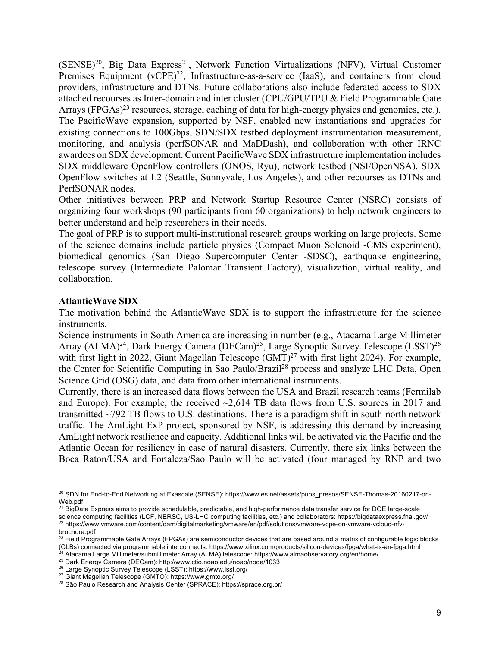(SENSE)<sup>20</sup>, Big Data Express<sup>21</sup>, Network Function Virtualizations (NFV), Virtual Customer Premises Equipment (vCPE)<sup>22</sup>, Infrastructure-as-a-service (IaaS), and containers from cloud providers, infrastructure and DTNs. Future collaborations also include federated access to SDX attached recourses as Inter-domain and inter cluster (CPU/GPU/TPU & Field Programmable Gate Arrays (FPGAs)<sup>23</sup> resources, storage, caching of data for high-energy physics and genomics, etc.). The PacificWave expansion, supported by NSF, enabled new instantiations and upgrades for existing connections to 100Gbps, SDN/SDX testbed deployment instrumentation measurement, monitoring, and analysis (perfSONAR and MaDDash), and collaboration with other IRNC awardees on SDX development. Current PacificWave SDX infrastructure implementation includes SDX middleware OpenFlow controllers (ONOS, Ryu), network testbed (NSI/OpenNSA), SDX OpenFlow switches at L2 (Seattle, Sunnyvale, Los Angeles), and other recourses as DTNs and PerfSONAR nodes.

Other initiatives between PRP and Network Startup Resource Center (NSRC) consists of organizing four workshops (90 participants from 60 organizations) to help network engineers to better understand and help researchers in their needs.

The goal of PRP is to support multi-institutional research groups working on large projects. Some of the science domains include particle physics (Compact Muon Solenoid -CMS experiment), biomedical genomics (San Diego Supercomputer Center -SDSC), earthquake engineering, telescope survey (Intermediate Palomar Transient Factory), visualization, virtual reality, and collaboration.

#### **AtlanticWave SDX**

The motivation behind the AtlanticWave SDX is to support the infrastructure for the science instruments.

Science instruments in South America are increasing in number (e.g., Atacama Large Millimeter Array (ALMA)<sup>24</sup>, Dark Energy Camera (DECam)<sup>25</sup>, Large Synoptic Survey Telescope (LSST)<sup>26</sup> with first light in 2022, Giant Magellan Telescope (GMT)<sup>27</sup> with first light 2024). For example, the Center for Scientific Computing in Sao Paulo/Brazil<sup>28</sup> process and analyze LHC Data, Open Science Grid (OSG) data, and data from other international instruments.

Currently, there is an increased data flows between the USA and Brazil research teams (Fermilab and Europe). For example, the received  $\sim 2,614$  TB data flows from U.S. sources in 2017 and transmitted  $\sim$ 792 TB flows to U.S. destinations. There is a paradigm shift in south-north network traffic. The AmLight ExP project, sponsored by NSF, is addressing this demand by increasing AmLight network resilience and capacity. Additional links will be activated via the Pacific and the Atlantic Ocean for resiliency in case of natural disasters. Currently, there six links between the Boca Raton/USA and Fortaleza/Sao Paulo will be activated (four managed by RNP and two

<sup>20</sup> SDN for End-to-End Networking at Exascale (SENSE): https://www.es.net/assets/pubs\_presos/SENSE-Thomas-20160217-on-Web.pdf

<sup>&</sup>lt;sup>21</sup> BigData Express aims to provide schedulable, predictable, and high-performance data transfer service for DOE large-scale science computing facilities (LCF, NERSC, US-LHC computing facilities, etc.) and collaborators: https://bigdataexpress.fnal.gov/ <sup>22</sup> https://www.vmware.com/content/dam/digitalmarketing/vmware/en/pdf/solutions/vmware-vcpe-on-vmware-vcloud-nfvbrochure.pdf

 $23$  Field Programmable Gate Arrays (FPGAs) are semiconductor devices that are based around a matrix of configurable logic blocks (CLBs) connected via programmable interconnects: https://www.xilinx.com/products/silicon-devices/fpga/what-is-an-fpga.html

<sup>&</sup>lt;sup>24</sup> Atacama Large Millimeter/submillimeter Array (ALMA) telescope: https://www.almaobservatory.org/en/home/

<sup>25</sup> Dark Energy Camera (DECam): http://www.ctio.noao.edu/noao/node/1033

<sup>26</sup> Large Synoptic Survey Telescope (LSST): https://www.lsst.org/

<sup>27</sup> Giant Magellan Telescope (GMTO): https://www.gmto.org/

<sup>&</sup>lt;sup>28</sup> São Paulo Research and Analysis Center (SPRACE): https://sprace.org.br/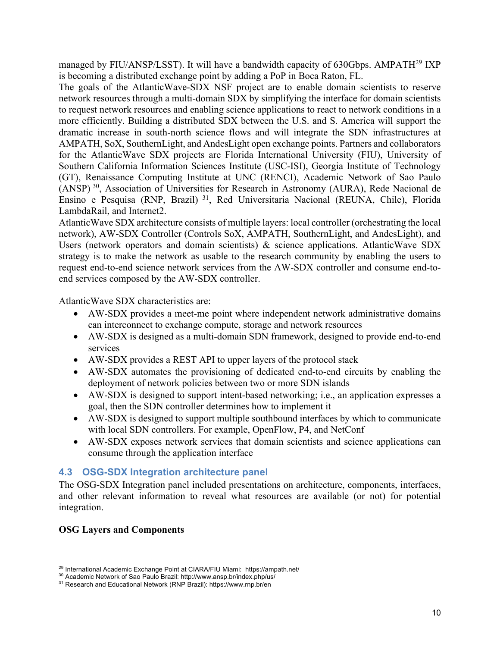managed by FIU/ANSP/LSST). It will have a bandwidth capacity of 630Gbps. AMPATH29 IXP is becoming a distributed exchange point by adding a PoP in Boca Raton, FL.

The goals of the AtlanticWave-SDX NSF project are to enable domain scientists to reserve network resources through a multi-domain SDX by simplifying the interface for domain scientists to request network resources and enabling science applications to react to network conditions in a more efficiently. Building a distributed SDX between the U.S. and S. America will support the dramatic increase in south-north science flows and will integrate the SDN infrastructures at AMPATH, SoX, SouthernLight, and AndesLight open exchange points. Partners and collaborators for the AtlanticWave SDX projects are Florida International University (FIU), University of Southern California Information Sciences Institute (USC-ISI), Georgia Institute of Technology (GT), Renaissance Computing Institute at UNC (RENCI), Academic Network of Sao Paulo (ANSP) 30, Association of Universities for Research in Astronomy (AURA), Rede Nacional de Ensino e Pesquisa (RNP, Brazil) 31, Red Universitaria Nacional (REUNA, Chile), Florida LambdaRail, and Internet2.

AtlanticWave SDX architecture consists of multiple layers: local controller (orchestrating the local network), AW-SDX Controller (Controls SoX, AMPATH, SouthernLight, and AndesLight), and Users (network operators and domain scientists) & science applications. AtlanticWave SDX strategy is to make the network as usable to the research community by enabling the users to request end-to-end science network services from the AW-SDX controller and consume end-toend services composed by the AW-SDX controller.

AtlanticWave SDX characteristics are:

- AW-SDX provides a meet-me point where independent network administrative domains can interconnect to exchange compute, storage and network resources
- AW-SDX is designed as a multi-domain SDN framework, designed to provide end-to-end services
- AW-SDX provides a REST API to upper layers of the protocol stack
- AW-SDX automates the provisioning of dedicated end-to-end circuits by enabling the deployment of network policies between two or more SDN islands
- AW-SDX is designed to support intent-based networking; i.e., an application expresses a goal, then the SDN controller determines how to implement it
- AW-SDX is designed to support multiple southbound interfaces by which to communicate with local SDN controllers. For example, OpenFlow, P4, and NetConf
- AW-SDX exposes network services that domain scientists and science applications can consume through the application interface

## **4.3 OSG-SDX Integration architecture panel**

The OSG-SDX Integration panel included presentations on architecture, components, interfaces, and other relevant information to reveal what resources are available (or not) for potential integration.

## **OSG Layers and Components**

<sup>&</sup>lt;sup>29</sup> International Academic Exchange Point at CIARA/FIU Miami: https://ampath.net/

<sup>30</sup> Academic Network of Sao Paulo Brazil: http://www.ansp.br/index.php/us/

<sup>31</sup> Research and Educational Network (RNP Brazil): https://www.rnp.br/en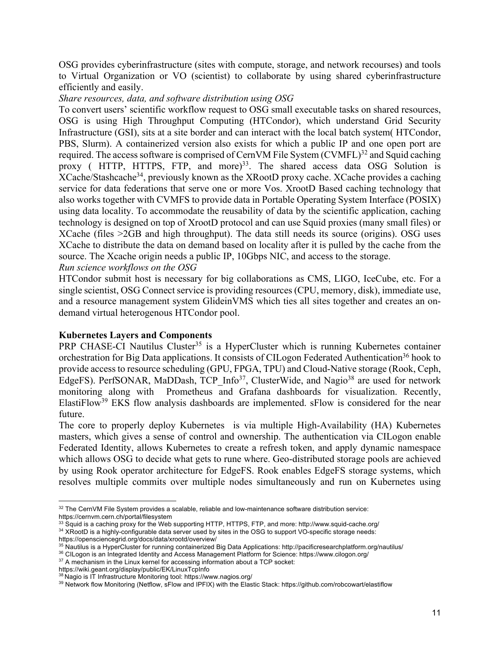OSG provides cyberinfrastructure (sites with compute, storage, and network recourses) and tools to Virtual Organization or VO (scientist) to collaborate by using shared cyberinfrastructure efficiently and easily.

#### *Share resources, data, and software distribution using OSG*

To convert users' scientific workflow request to OSG small executable tasks on shared resources, OSG is using High Throughput Computing (HTCondor), which understand Grid Security Infrastructure (GSI), sits at a site border and can interact with the local batch system( HTCondor, PBS, Slurm). A containerized version also exists for which a public IP and one open port are required. The access software is comprised of CernVM File System (CVMFL)<sup>32</sup> and Squid caching proxy ( HTTP, HTTPS, FTP, and more)<sup>33</sup>. The shared access data OSG Solution is XCache/Stashcache34, previously known as the XRootD proxy cache. XCache provides a caching service for data federations that serve one or more Vos. XrootD Based caching technology that also works together with CVMFS to provide data in Portable Operating System Interface (POSIX) using data locality. To accommodate the reusability of data by the scientific application, caching technology is designed on top of XrootD protocol and can use Squid proxies (many small files) or XCache (files >2GB and high throughput). The data still needs its source (origins). OSG uses XCache to distribute the data on demand based on locality after it is pulled by the cache from the source. The Xcache origin needs a public IP, 10Gbps NIC, and access to the storage. *Run science workflows on the OSG*

HTCondor submit host is necessary for big collaborations as CMS, LIGO, IceCube, etc. For a single scientist, OSG Connect service is providing resources (CPU, memory, disk), immediate use, and a resource management system GlideinVMS which ties all sites together and creates an ondemand virtual heterogenous HTCondor pool.

#### **Kubernetes Layers and Components**

PRP CHASE-CI Nautilus Cluster<sup>35</sup> is a HyperCluster which is running Kubernetes container orchestration for Big Data applications. It consists of CILogon Federated Authentication<sup>36</sup> hook to provide access to resource scheduling (GPU, FPGA, TPU) and Cloud-Native storage (Rook, Ceph, EdgeFS). PerfSONAR, MaDDash, TCP Info<sup>37</sup>, ClusterWide, and Nagio<sup>38</sup> are used for network monitoring along with Prometheus and Grafana dashboards for visualization. Recently, ElastiFlow39 EKS flow analysis dashboards are implemented. sFlow is considered for the near future.

The core to properly deploy Kubernetes is via multiple High-Availability (HA) Kubernetes masters, which gives a sense of control and ownership. The authentication via CILogon enable Federated Identity, allows Kubernetes to create a refresh token, and apply dynamic namespace which allows OSG to decide what gets to rune where. Geo-distributed storage pools are achieved by using Rook operator architecture for EdgeFS. Rook enables EdgeFS storage systems, which resolves multiple commits over multiple nodes simultaneously and run on Kubernetes using

https://wiki.geant.org/display/public/EK/LinuxTcpInfo

 $32$  The CernVM File System provides a scalable, reliable and low-maintenance software distribution service: https://cernvm.cern.ch/portal/filesystem

 $33$  Squid is a caching proxy for the Web supporting HTTP, HTTPS, FTP, and more: http://www.squid-cache.org/

<sup>34</sup> XRootD is a highly-configurable data server used by sites in the OSG to support VO-specific storage needs: https://opensciencegrid.org/docs/data/xrootd/overview/

<sup>&</sup>lt;sup>35</sup> Nautilus is a HyperCluster for running containerized Big Data Applications: http://pacificresearchplatform.org/nautilus/

<sup>36</sup> CILogon is an Integrated Identity and Access Management Platform for Science: https://www.cilogon.org/

<sup>&</sup>lt;sup>37</sup> A mechanism in the Linux kernel for accessing information about a TCP socket:

<sup>38</sup> Nagio is IT Infrastructure Monitoring tool: https://www.nagios.org/

<sup>&</sup>lt;sup>39</sup> Network flow Monitoring (Netflow, sFlow and IPFIX) with the Elastic Stack: https://github.com/robcowart/elastiflow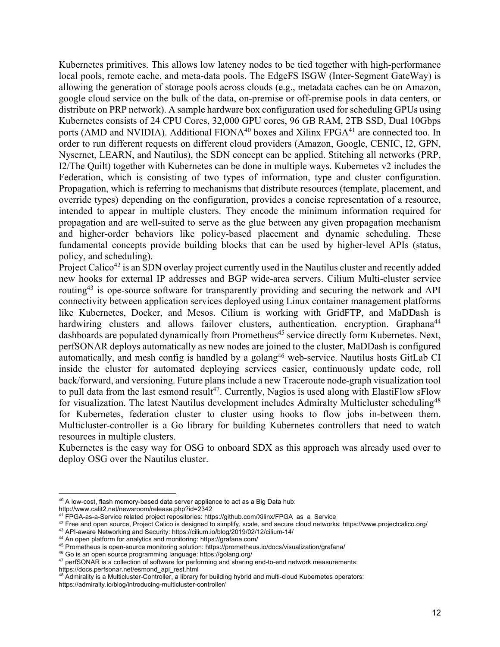Kubernetes primitives. This allows low latency nodes to be tied together with high-performance local pools, remote cache, and meta-data pools. The EdgeFS ISGW (Inter-Segment GateWay) is allowing the generation of storage pools across clouds (e.g., metadata caches can be on Amazon, google cloud service on the bulk of the data, on-premise or off-premise pools in data centers, or distribute on PRP network). A sample hardware box configuration used for scheduling GPUs using Kubernetes consists of 24 CPU Cores, 32,000 GPU cores, 96 GB RAM, 2TB SSD, Dual 10Gbps ports (AMD and NVIDIA). Additional FIONA<sup>40</sup> boxes and Xilinx FPGA<sup>41</sup> are connected too. In order to run different requests on different cloud providers (Amazon, Google, CENIC, I2, GPN, Nysernet, LEARN, and Nautilus), the SDN concept can be applied. Stitching all networks (PRP, I2/The Quilt) together with Kubernetes can be done in multiple ways. Kubernetes v2 includes the Federation, which is consisting of two types of information, type and cluster configuration. Propagation, which is referring to mechanisms that distribute resources (template, placement, and override types) depending on the configuration, provides a concise representation of a resource, intended to appear in multiple clusters. They encode the minimum information required for propagation and are well-suited to serve as the glue between any given propagation mechanism and higher-order behaviors like policy-based placement and dynamic scheduling. These fundamental concepts provide building blocks that can be used by higher-level APIs (status, policy, and scheduling).

Project Calico<sup>42</sup> is an SDN overlay project currently used in the Nautilus cluster and recently added new hooks for external IP addresses and BGP wide-area servers. Cilium Multi-cluster service routing<sup>43</sup> is ope-source software for transparently providing and securing the network and API connectivity between application services deployed using Linux container management platforms like Kubernetes, Docker, and Mesos. Cilium is working with GridFTP, and MaDDash is hardwiring clusters and allows failover clusters, authentication, encryption. Graphana<sup>44</sup> dashboards are populated dynamically from Prometheus<sup>45</sup> service directly form Kubernetes. Next, perfSONAR deploys automatically as new nodes are joined to the cluster, MaDDash is configured automatically, and mesh config is handled by a golang<sup>46</sup> web-service. Nautilus hosts GitLab CI inside the cluster for automated deploying services easier, continuously update code, roll back/forward, and versioning. Future plans include a new Traceroute node-graph visualization tool to pull data from the last esmond result<sup>47</sup>. Currently, Nagios is used along with ElastiFlow sFlow for visualization. The latest Nautilus development includes Admiralty Multicluster scheduling<sup>48</sup> for Kubernetes, federation cluster to cluster using hooks to flow jobs in-between them. Multicluster-controller is a Go library for building Kubernetes controllers that need to watch resources in multiple clusters.

Kubernetes is the easy way for OSG to onboard SDX as this approach was already used over to deploy OSG over the Nautilus cluster.

https://docs.perfsonar.net/esmond\_api\_rest.html

<sup>&</sup>lt;sup>40</sup> A low-cost, flash memory-based data server appliance to act as a Big Data hub:

http://www.calit2.net/newsroom/release.php?id=2342

<sup>41</sup> FPGA-as-a-Service related project repositories: https://github.com/Xilinx/FPGA\_as\_a\_Service

<sup>42</sup> Free and open source, Project Calico is designed to simplify, scale, and secure cloud networks: https://www.projectcalico.org/

<sup>43</sup> API-aware Networking and Security: https://cilium.io/blog/2019/02/12/cilium-14/

<sup>44</sup> An open platform for analytics and monitoring: https://grafana.com/

<sup>45</sup> Prometheus is open-source monitoring solution: https://prometheus.io/docs/visualization/grafana/

<sup>46</sup> Go is an open source programming language: https://golang.org/

<sup>&</sup>lt;sup>47</sup> perfSONAR is a collection of software for performing and sharing end-to-end network measurements:

 $48$  Admirality is a Multicluster-Controller, a library for building hybrid and multi-cloud Kubernetes operators: https://admiralty.io/blog/introducing-multicluster-controller/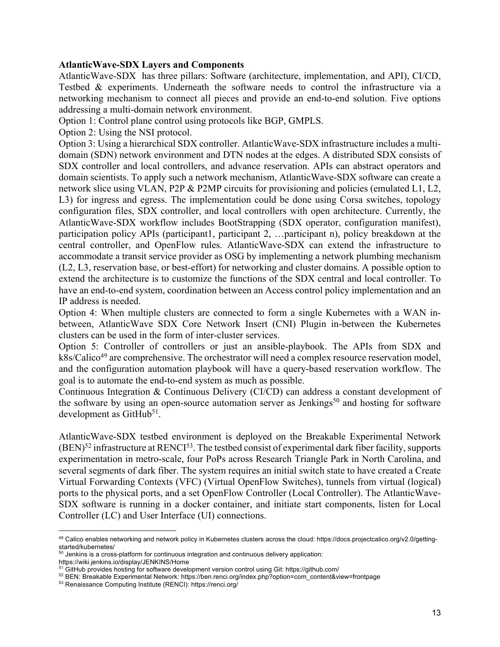#### **AtlanticWave-SDX Layers and Components**

AtlanticWave-SDX has three pillars: Software (architecture, implementation, and API), CI/CD, Testbed & experiments. Underneath the software needs to control the infrastructure via a networking mechanism to connect all pieces and provide an end-to-end solution. Five options addressing a multi-domain network environment.

Option 1: Control plane control using protocols like BGP, GMPLS.

Option 2: Using the NSI protocol.

Option 3: Using a hierarchical SDX controller. AtlanticWave-SDX infrastructure includes a multidomain (SDN) network environment and DTN nodes at the edges. A distributed SDX consists of SDX controller and local controllers, and advance reservation. APIs can abstract operators and domain scientists. To apply such a network mechanism, AtlanticWave-SDX software can create a network slice using VLAN, P2P & P2MP circuits for provisioning and policies (emulated L1, L2, L3) for ingress and egress. The implementation could be done using Corsa switches, topology configuration files, SDX controller, and local controllers with open architecture. Currently, the AtlanticWave-SDX workflow includes BootStrapping (SDX operator, configuration manifest), participation policy APIs (participant1, participant 2, ... participant n), policy breakdown at the central controller, and OpenFlow rules. AtlanticWave-SDX can extend the infrastructure to accommodate a transit service provider as OSG by implementing a network plumbing mechanism (L2, L3, reservation base, or best-effort) for networking and cluster domains. A possible option to extend the architecture is to customize the functions of the SDX central and local controller. To have an end-to-end system, coordination between an Access control policy implementation and an IP address is needed.

Option 4: When multiple clusters are connected to form a single Kubernetes with a WAN inbetween, AtlanticWave SDX Core Network Insert (CNI) Plugin in-between the Kubernetes clusters can be used in the form of inter-cluster services.

Option 5: Controller of controllers or just an ansible-playbook. The APIs from SDX and  $k8s/Calico<sup>49</sup>$  are comprehensive. The orchestrator will need a complex resource reservation model, and the configuration automation playbook will have a query-based reservation workflow. The goal is to automate the end-to-end system as much as possible.

Continuous Integration & Continuous Delivery (CI/CD) can address a constant development of the software by using an open-source automation server as Jenkings<sup>50</sup> and hosting for software development as GitHub<sup>51</sup>.

AtlanticWave-SDX testbed environment is deployed on the Breakable Experimental Network  $(BEN)^{52}$  infrastructure at RENCI<sup>53</sup>. The testbed consist of experimental dark fiber facility, supports experimentation in metro-scale, four PoPs across Research Triangle Park in North Carolina, and several segments of dark fiber. The system requires an initial switch state to have created a Create Virtual Forwarding Contexts (VFC) (Virtual OpenFlow Switches), tunnels from virtual (logical) ports to the physical ports, and a set OpenFlow Controller (Local Controller). The AtlanticWave-SDX software is running in a docker container, and initiate start components, listen for Local Controller (LC) and User Interface (UI) connections.

https://wiki.jenkins.io/display/JENKINS/Home

<sup>49</sup> Calico enables networking and network policy in Kubernetes clusters across the cloud: https://docs.projectcalico.org/v2.0/gettingstarted/kubernetes/

 $50$  Jenkins is a cross-platform for continuous integration and continuous delivery application:

<sup>&</sup>lt;sup>51</sup> GitHub provides hosting for software development version control using Git: https://github.com/

<sup>52</sup> BEN: Breakable Experimental Network: https://ben.renci.org/index.php?option=com\_content&view=frontpage

<sup>53</sup> Renaissance Computing Institute (RENCI): https://renci.org/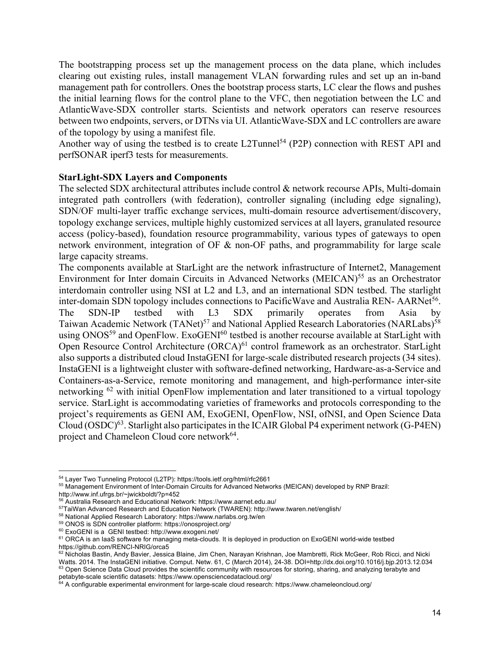The bootstrapping process set up the management process on the data plane, which includes clearing out existing rules, install management VLAN forwarding rules and set up an in-band management path for controllers. Ones the bootstrap process starts, LC clear the flows and pushes the initial learning flows for the control plane to the VFC, then negotiation between the LC and AtlanticWave-SDX controller starts. Scientists and network operators can reserve resources between two endpoints, servers, or DTNs via UI. AtlanticWave-SDX and LC controllers are aware of the topology by using a manifest file.

Another way of using the testbed is to create L2Tunnel<sup>54</sup> (P2P) connection with REST API and perfSONAR iperf3 tests for measurements.

#### **StarLight-SDX Layers and Components**

The selected SDX architectural attributes include control & network recourse APIs, Multi-domain integrated path controllers (with federation), controller signaling (including edge signaling), SDN/OF multi-layer traffic exchange services, multi-domain resource advertisement/discovery, topology exchange services, multiple highly customized services at all layers, granulated resource access (policy-based), foundation resource programmability, various types of gateways to open network environment, integration of OF & non-OF paths, and programmability for large scale large capacity streams.

The components available at StarLight are the network infrastructure of Internet2, Management Environment for Inter domain Circuits in Advanced Networks (MEICAN)<sup>55</sup> as an Orchestrator interdomain controller using NSI at L2 and L3, and an international SDN testbed. The starlight inter-domain SDN topology includes connections to PacificWave and Australia REN- AARNet<sup>56</sup>. The SDN-IP testbed with L3 SDX primarily operates from Asia by Taiwan Academic Network (TANet)<sup>57</sup> and National Applied Research Laboratories (NARLabs)<sup>58</sup> using ONOS<sup>59</sup> and OpenFlow. ExoGENI<sup>60</sup> testbed is another recourse available at StarLight with Open Resource Control Architecture (ORCA)<sup>61</sup> control framework as an orchestrator. StarLight also supports a distributed cloud InstaGENI for large-scale distributed research projects (34 sites). InstaGENI is a lightweight cluster with software-defined networking, Hardware-as-a-Service and Containers-as-a-Service, remote monitoring and management, and high-performance inter-site networking <sup>62</sup> with initial OpenFlow implementation and later transitioned to a virtual topology service. StarLight is accommodating varieties of frameworks and protocols corresponding to the project's requirements as GENI AM, ExoGENI, OpenFlow, NSI, ofNSI, and Open Science Data Cloud  $\rm (OSDC)^{63}$ . Starlight also participates in the ICAIR Global P4 experiment network (G-P4EN) project and Chameleon Cloud core network<sup>64</sup>.

<sup>54</sup> Layer Two Tunneling Protocol (L2TP): https://tools.ietf.org/html/rfc2661

<sup>55</sup> Management Environment of Inter-Domain Circuits for Advanced Networks (MEICAN) developed by RNP Brazil: http://www.inf.ufrgs.br/~jwickboldt/?p=452

<sup>56</sup> Australia Research and Educational Network: https://www.aarnet.edu.au/

<sup>57</sup>TaiWan Advanced Research and Education Network (TWAREN): http://www.twaren.net/english/

<sup>58</sup> National Applied Research Laboratory: https://www.narlabs.org.tw/en

<sup>59</sup> ONOS is SDN controller platform: https://onosproject.org/

<sup>60</sup> ExoGENI is a GENI testbed: http://www.exogeni.net/

<sup>&</sup>lt;sup>61</sup> ORCA is an laaS software for managing meta-clouds. It is deployed in production on ExoGENI world-wide testbed https://github.com/RENCI-NRIG/orca5

ntpemgintested.................................<br><sup>62</sup> Nicholas Bastin, Andy Bavier, Jessica Blaine, Jim Chen, Narayan Krishnan, Joe Mambretti, Rick McGeer, Rob Ricci, and Nicki Watts. 2014. The InstaGENI initiative. Comput. Netw. 61, C (March 2014), 24-38. DOI=http://dx.doi.org/10.1016/j.bjp.2013.12.034  $63$  Open Science Data Cloud provides the scientific community with resources for storing, sharing, and analyzing terabyte and petabyte-scale scientific datasets: https://www.opensciencedatacloud.org/

 $64$  A configurable experimental environment for large-scale cloud research: https://www.chameleoncloud.org/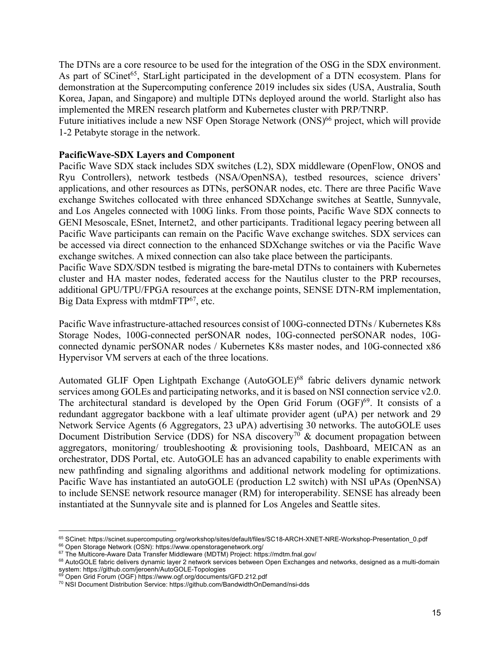The DTNs are a core resource to be used for the integration of the OSG in the SDX environment. As part of SCinet<sup>65</sup>, StarLight participated in the development of a DTN ecosystem. Plans for demonstration at the Supercomputing conference 2019 includes six sides (USA, Australia, South Korea, Japan, and Singapore) and multiple DTNs deployed around the world. Starlight also has implemented the MREN research platform and Kubernetes cluster with PRP/TNRP.

Future initiatives include a new NSF Open Storage Network (ONS)<sup>66</sup> project, which will provide 1-2 Petabyte storage in the network.

#### **PacificWave-SDX Layers and Component**

Pacific Wave SDX stack includes SDX switches (L2), SDX middleware (OpenFlow, ONOS and Ryu Controllers), network testbeds (NSA/OpenNSA), testbed resources, science drivers' applications, and other resources as DTNs, perSONAR nodes, etc. There are three Pacific Wave exchange Switches collocated with three enhanced SDXchange switches at Seattle, Sunnyvale, and Los Angeles connected with 100G links. From those points, Pacific Wave SDX connects to GENI Mesoscale, ESnet, Internet2, and other participants. Traditional legacy peering between all Pacific Wave participants can remain on the Pacific Wave exchange switches. SDX services can be accessed via direct connection to the enhanced SDXchange switches or via the Pacific Wave exchange switches. A mixed connection can also take place between the participants.

Pacific Wave SDX/SDN testbed is migrating the bare-metal DTNs to containers with Kubernetes cluster and HA master nodes, federated access for the Nautilus cluster to the PRP recourses, additional GPU/TPU/FPGA resources at the exchange points, SENSE DTN-RM implementation, Big Data Express with mtdmFT $P^{67}$ , etc.

Pacific Wave infrastructure-attached resources consist of 100G-connected DTNs / Kubernetes K8s Storage Nodes, 100G-connected perSONAR nodes, 10G-connected perSONAR nodes, 10Gconnected dynamic perSONAR nodes / Kubernetes K8s master nodes, and 10G-connected x86 Hypervisor VM servers at each of the three locations.

Automated GLIF Open Lightpath Exchange (AutoGOLE)<sup>68</sup> fabric delivers dynamic network services among GOLEs and participating networks, and it is based on NSI connection service v2.0. The architectural standard is developed by the Open Grid Forum  $(OGF)^{69}$ . It consists of a redundant aggregator backbone with a leaf ultimate provider agent (uPA) per network and 29 Network Service Agents (6 Aggregators, 23 uPA) advertising 30 networks. The autoGOLE uses Document Distribution Service (DDS) for NSA discovery<sup>70</sup>  $\&$  document propagation between aggregators, monitoring/ troubleshooting & provisioning tools, Dashboard, MEICAN as an orchestrator, DDS Portal, etc. AutoGOLE has an advanced capability to enable experiments with new pathfinding and signaling algorithms and additional network modeling for optimizations. Pacific Wave has instantiated an autoGOLE (production L2 switch) with NSI uPAs (OpenNSA) to include SENSE network resource manager (RM) for interoperability. SENSE has already been instantiated at the Sunnyvale site and is planned for Los Angeles and Seattle sites.

<sup>66</sup> Open Storage Network (OSN): https://www.openstoragenetwork.org/

<sup>65</sup> SCinet: https://scinet.supercomputing.org/workshop/sites/default/files/SC18-ARCH-XNET-NRE-Workshop-Presentation\_0.pdf

<sup>&</sup>lt;sup>67</sup> The Multicore-Aware Data Transfer Middleware (MDTM) Project: https://mdtm.fnal.gov/

<sup>68</sup> AutoGOLE fabric delivers dynamic layer 2 network services between Open Exchanges and networks, designed as a multi-domain system: https://github.com/jeroenh/AutoGOLE-Topologies

<sup>&</sup>lt;sup>69</sup> Open Grid Forum (OGF) https://www.ogf.org/documents/GFD.212.pdf

<sup>70</sup> NSI Document Distribution Service: https://github.com/BandwidthOnDemand/nsi-dds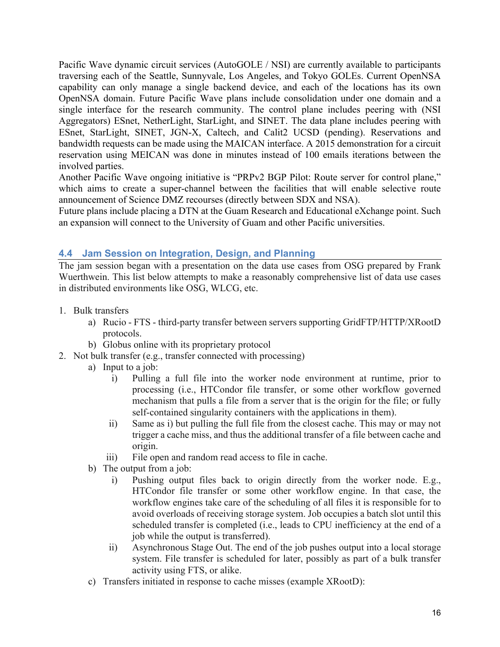Pacific Wave dynamic circuit services (AutoGOLE / NSI) are currently available to participants traversing each of the Seattle, Sunnyvale, Los Angeles, and Tokyo GOLEs. Current OpenNSA capability can only manage a single backend device, and each of the locations has its own OpenNSA domain. Future Pacific Wave plans include consolidation under one domain and a single interface for the research community. The control plane includes peering with (NSI Aggregators) ESnet, NetherLight, StarLight, and SINET. The data plane includes peering with ESnet, StarLight, SINET, JGN-X, Caltech, and Calit2 UCSD (pending). Reservations and bandwidth requests can be made using the MAICAN interface. A 2015 demonstration for a circuit reservation using MEICAN was done in minutes instead of 100 emails iterations between the involved parties.

Another Pacific Wave ongoing initiative is "PRPv2 BGP Pilot: Route server for control plane," which aims to create a super-channel between the facilities that will enable selective route announcement of Science DMZ recourses (directly between SDX and NSA).

Future plans include placing a DTN at the Guam Research and Educational eXchange point. Such an expansion will connect to the University of Guam and other Pacific universities.

## **4.4 Jam Session on Integration, Design, and Planning**

The jam session began with a presentation on the data use cases from OSG prepared by Frank Wuerthwein. This list below attempts to make a reasonably comprehensive list of data use cases in distributed environments like OSG, WLCG, etc.

- 1. Bulk transfers
	- a) Rucio FTS third-party transfer between servers supporting GridFTP/HTTP/XRootD protocols.
	- b) Globus online with its proprietary protocol
- 2. Not bulk transfer (e.g., transfer connected with processing)
	- a) Input to a job:
		- i) Pulling a full file into the worker node environment at runtime, prior to processing (i.e., HTCondor file transfer, or some other workflow governed mechanism that pulls a file from a server that is the origin for the file; or fully self-contained singularity containers with the applications in them).
		- ii) Same as i) but pulling the full file from the closest cache. This may or may not trigger a cache miss, and thus the additional transfer of a file between cache and origin.
		- iii) File open and random read access to file in cache.
	- b) The output from a job:
		- i) Pushing output files back to origin directly from the worker node. E.g., HTCondor file transfer or some other workflow engine. In that case, the workflow engines take care of the scheduling of all files it is responsible for to avoid overloads of receiving storage system. Job occupies a batch slot until this scheduled transfer is completed (i.e., leads to CPU inefficiency at the end of a job while the output is transferred).
		- ii) Asynchronous Stage Out. The end of the job pushes output into a local storage system. File transfer is scheduled for later, possibly as part of a bulk transfer activity using FTS, or alike.
	- c) Transfers initiated in response to cache misses (example XRootD):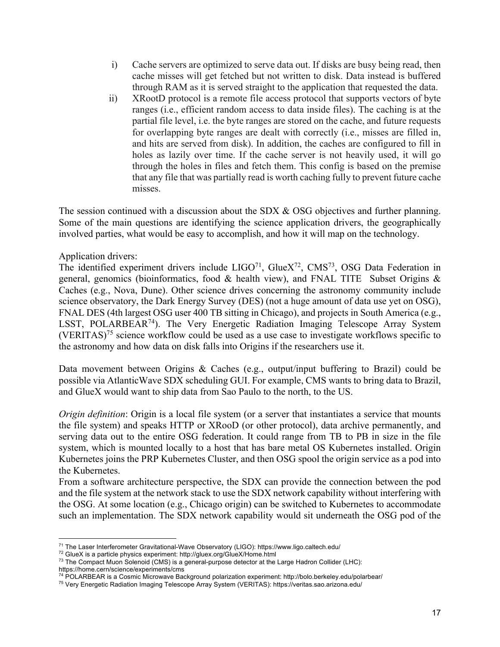- i) Cache servers are optimized to serve data out. If disks are busy being read, then cache misses will get fetched but not written to disk. Data instead is buffered through RAM as it is served straight to the application that requested the data.
- ii) XRootD protocol is a remote file access protocol that supports vectors of byte ranges (i.e., efficient random access to data inside files). The caching is at the partial file level, i.e. the byte ranges are stored on the cache, and future requests for overlapping byte ranges are dealt with correctly (i.e., misses are filled in, and hits are served from disk). In addition, the caches are configured to fill in holes as lazily over time. If the cache server is not heavily used, it will go through the holes in files and fetch them. This config is based on the premise that any file that was partially read is worth caching fully to prevent future cache misses.

The session continued with a discussion about the SDX & OSG objectives and further planning. Some of the main questions are identifying the science application drivers, the geographically involved parties, what would be easy to accomplish, and how it will map on the technology.

#### Application drivers:

The identified experiment drivers include  $LIGO^{71}$ ,  $GlueX^{72}$ ,  $CMS^{73}$ , OSG Data Federation in general, genomics (bioinformatics, food & health view), and FNAL TITE Subset Origins & Caches (e.g., Nova, Dune). Other science drives concerning the astronomy community include science observatory, the Dark Energy Survey (DES) (not a huge amount of data use yet on OSG), FNAL DES (4th largest OSG user 400 TB sitting in Chicago), and projects in South America (e.g., LSST, POLARBEAR<sup>74</sup>). The Very Energetic Radiation Imaging Telescope Array System (VERITAS)<sup>75</sup> science workflow could be used as a use case to investigate workflows specific to the astronomy and how data on disk falls into Origins if the researchers use it.

Data movement between Origins & Caches (e.g., output/input buffering to Brazil) could be possible via AtlanticWave SDX scheduling GUI. For example, CMS wants to bring data to Brazil, and GlueX would want to ship data from Sao Paulo to the north, to the US.

*Origin definition*: Origin is a local file system (or a server that instantiates a service that mounts the file system) and speaks HTTP or XRooD (or other protocol), data archive permanently, and serving data out to the entire OSG federation. It could range from TB to PB in size in the file system, which is mounted locally to a host that has bare metal OS Kubernetes installed. Origin Kubernetes joins the PRP Kubernetes Cluster, and then OSG spool the origin service as a pod into the Kubernetes.

From a software architecture perspective, the SDX can provide the connection between the pod and the file system at the network stack to use the SDX network capability without interfering with the OSG. At some location (e.g., Chicago origin) can be switched to Kubernetes to accommodate such an implementation. The SDX network capability would sit underneath the OSG pod of the

<sup>71</sup> The Laser Interferometer Gravitational-Wave Observatory (LIGO): https://www.ligo.caltech.edu/

<sup>72</sup> GlueX is a particle physics experiment: http://gluex.org/GlueX/Home.html

<sup>73</sup> The Compact Muon Solenoid (CMS) is a general-purpose detector at the Large Hadron Collider (LHC): https://home.cern/science/experiments/cms

<sup>74</sup> POLARBEAR is a Cosmic Microwave Background polarization experiment: http://bolo.berkeley.edu/polarbear/

<sup>75</sup> Very Energetic Radiation Imaging Telescope Array System (VERITAS): https://veritas.sao.arizona.edu/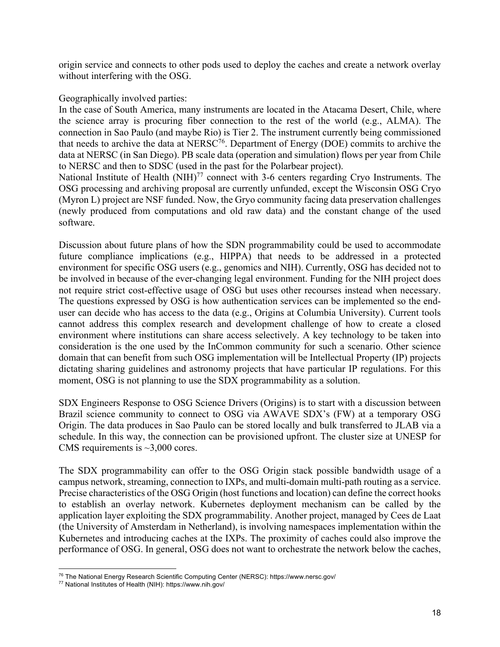origin service and connects to other pods used to deploy the caches and create a network overlay without interfering with the OSG.

#### Geographically involved parties:

In the case of South America, many instruments are located in the Atacama Desert, Chile, where the science array is procuring fiber connection to the rest of the world (e.g., ALMA). The connection in Sao Paulo (and maybe Rio) is Tier 2. The instrument currently being commissioned that needs to archive the data at NERSC76. Department of Energy (DOE) commits to archive the data at NERSC (in San Diego). PB scale data (operation and simulation) flows per year from Chile to NERSC and then to SDSC (used in the past for the Polarbear project).

National Institute of Health (NIH)<sup>77</sup> connect with 3-6 centers regarding Cryo Instruments. The OSG processing and archiving proposal are currently unfunded, except the Wisconsin OSG Cryo (Myron L) project are NSF funded. Now, the Gryo community facing data preservation challenges (newly produced from computations and old raw data) and the constant change of the used software.

Discussion about future plans of how the SDN programmability could be used to accommodate future compliance implications (e.g., HIPPA) that needs to be addressed in a protected environment for specific OSG users (e.g., genomics and NIH). Currently, OSG has decided not to be involved in because of the ever-changing legal environment. Funding for the NIH project does not require strict cost-effective usage of OSG but uses other recourses instead when necessary. The questions expressed by OSG is how authentication services can be implemented so the enduser can decide who has access to the data (e.g., Origins at Columbia University). Current tools cannot address this complex research and development challenge of how to create a closed environment where institutions can share access selectively. A key technology to be taken into consideration is the one used by the InCommon community for such a scenario. Other science domain that can benefit from such OSG implementation will be Intellectual Property (IP) projects dictating sharing guidelines and astronomy projects that have particular IP regulations. For this moment, OSG is not planning to use the SDX programmability as a solution.

SDX Engineers Response to OSG Science Drivers (Origins) is to start with a discussion between Brazil science community to connect to OSG via AWAVE SDX's (FW) at a temporary OSG Origin. The data produces in Sao Paulo can be stored locally and bulk transferred to JLAB via a schedule. In this way, the connection can be provisioned upfront. The cluster size at UNESP for CMS requirements is  $\sim$ 3,000 cores.

The SDX programmability can offer to the OSG Origin stack possible bandwidth usage of a campus network, streaming, connection to IXPs, and multi-domain multi-path routing as a service. Precise characteristics of the OSG Origin (host functions and location) can define the correct hooks to establish an overlay network. Kubernetes deployment mechanism can be called by the application layer exploiting the SDX programmability. Another project, managed by Cees de Laat (the University of Amsterdam in Netherland), is involving namespaces implementation within the Kubernetes and introducing caches at the IXPs. The proximity of caches could also improve the performance of OSG. In general, OSG does not want to orchestrate the network below the caches,

<sup>76</sup> The National Energy Research Scientific Computing Center (NERSC): https://www.nersc.gov/

<sup>77</sup> National Institutes of Health (NIH): https://www.nih.gov/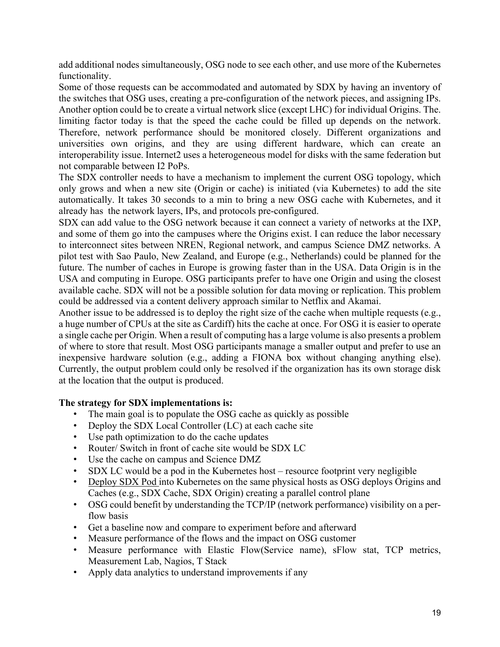add additional nodes simultaneously, OSG node to see each other, and use more of the Kubernetes functionality.

Some of those requests can be accommodated and automated by SDX by having an inventory of the switches that OSG uses, creating a pre-configuration of the network pieces, and assigning IPs. Another option could be to create a virtual network slice (except LHC) for individual Origins. The. limiting factor today is that the speed the cache could be filled up depends on the network. Therefore, network performance should be monitored closely. Different organizations and universities own origins, and they are using different hardware, which can create an interoperability issue. Internet2 uses a heterogeneous model for disks with the same federation but not comparable between I2 PoPs.

The SDX controller needs to have a mechanism to implement the current OSG topology, which only grows and when a new site (Origin or cache) is initiated (via Kubernetes) to add the site automatically. It takes 30 seconds to a min to bring a new OSG cache with Kubernetes, and it already has the network layers, IPs, and protocols pre-configured.

SDX can add value to the OSG network because it can connect a variety of networks at the IXP, and some of them go into the campuses where the Origins exist. I can reduce the labor necessary to interconnect sites between NREN, Regional network, and campus Science DMZ networks. A pilot test with Sao Paulo, New Zealand, and Europe (e.g., Netherlands) could be planned for the future. The number of caches in Europe is growing faster than in the USA. Data Origin is in the USA and computing in Europe. OSG participants prefer to have one Origin and using the closest available cache. SDX will not be a possible solution for data moving or replication. This problem could be addressed via a content delivery approach similar to Netflix and Akamai.

Another issue to be addressed is to deploy the right size of the cache when multiple requests (e.g., a huge number of CPUs at the site as Cardiff) hits the cache at once. For OSG it is easier to operate a single cache per Origin. When a result of computing has a large volume is also presents a problem of where to store that result. Most OSG participants manage a smaller output and prefer to use an inexpensive hardware solution (e.g., adding a FIONA box without changing anything else). Currently, the output problem could only be resolved if the organization has its own storage disk at the location that the output is produced.

## **The strategy for SDX implementations is:**

- The main goal is to populate the OSG cache as quickly as possible
- Deploy the SDX Local Controller (LC) at each cache site
- Use path optimization to do the cache updates
- Router/ Switch in front of cache site would be SDX LC
- Use the cache on campus and Science DMZ
- SDX LC would be a pod in the Kubernetes host resource footprint very negligible
- Deploy SDX Pod into Kubernetes on the same physical hosts as OSG deploys Origins and Caches (e.g., SDX Cache, SDX Origin) creating a parallel control plane
- OSG could benefit by understanding the TCP/IP (network performance) visibility on a perflow basis
- Get a baseline now and compare to experiment before and afterward
- Measure performance of the flows and the impact on OSG customer
- Measure performance with Elastic Flow(Service name), sFlow stat, TCP metrics, Measurement Lab, Nagios, T Stack
- Apply data analytics to understand improvements if any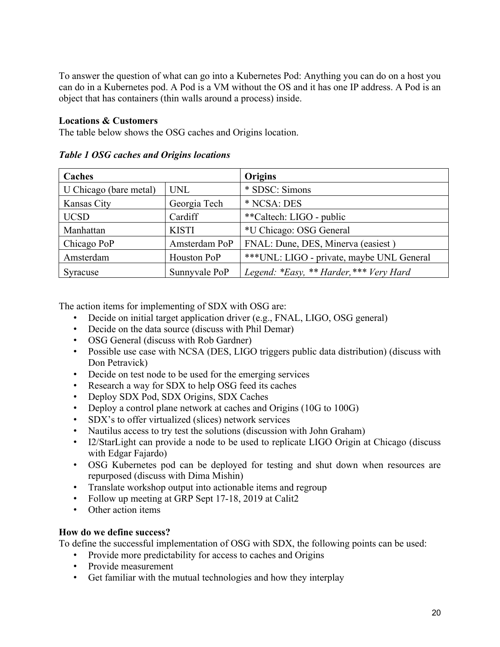To answer the question of what can go into a Kubernetes Pod: Anything you can do on a host you can do in a Kubernetes pod. A Pod is a VM without the OS and it has one IP address. A Pod is an object that has containers (thin walls around a process) inside.

### **Locations & Customers**

The table below shows the OSG caches and Origins location.

| Caches                 |               | Origins                                    |  |
|------------------------|---------------|--------------------------------------------|--|
| U Chicago (bare metal) | <b>UNL</b>    | * SDSC: Simons                             |  |
| Kansas City            | Georgia Tech  | * NCSA: DES                                |  |
| <b>UCSD</b>            | Cardiff       | **Caltech: LIGO - public                   |  |
| Manhattan              | <b>KISTI</b>  | *U Chicago: OSG General                    |  |
| Chicago PoP            | Amsterdam PoP | FNAL: Dune, DES, Minerva (easiest)         |  |
| Amsterdam              | Houston PoP   | *** UNL: LIGO - private, maybe UNL General |  |
| Syracuse               | Sunnyvale PoP | Legend: *Easy, ** Harder, *** Very Hard    |  |

*Table 1 OSG caches and Origins locations*

The action items for implementing of SDX with OSG are:

- Decide on initial target application driver (e.g., FNAL, LIGO, OSG general)
- Decide on the data source (discuss with Phil Demar)
- OSG General (discuss with Rob Gardner)
- Possible use case with NCSA (DES, LIGO triggers public data distribution) (discuss with Don Petravick)
- Decide on test node to be used for the emerging services
- Research a way for SDX to help OSG feed its caches
- Deploy SDX Pod, SDX Origins, SDX Caches
- Deploy a control plane network at caches and Origins (10G to 100G)
- SDX's to offer virtualized (slices) network services
- Nautilus access to try test the solutions (discussion with John Graham)
- I2/StarLight can provide a node to be used to replicate LIGO Origin at Chicago (discuss with Edgar Fajardo)
- OSG Kubernetes pod can be deployed for testing and shut down when resources are repurposed (discuss with Dima Mishin)
- Translate workshop output into actionable items and regroup
- Follow up meeting at GRP Sept 17-18, 2019 at Calit2
- Other action items

## **How do we define success?**

To define the successful implementation of OSG with SDX, the following points can be used:

- Provide more predictability for access to caches and Origins
- Provide measurement
- Get familiar with the mutual technologies and how they interplay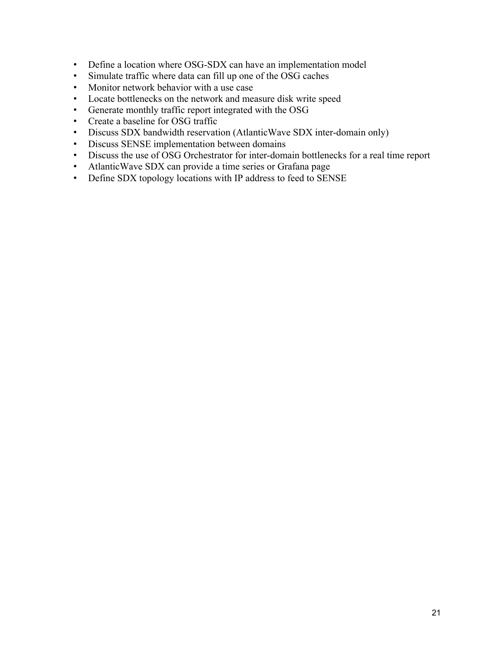- Define a location where OSG-SDX can have an implementation model
- Simulate traffic where data can fill up one of the OSG caches
- Monitor network behavior with a use case
- Locate bottlenecks on the network and measure disk write speed
- Generate monthly traffic report integrated with the OSG
- Create a baseline for OSG traffic
- Discuss SDX bandwidth reservation (AtlanticWave SDX inter-domain only)
- Discuss SENSE implementation between domains
- Discuss the use of OSG Orchestrator for inter-domain bottlenecks for a real time report
- AtlanticWave SDX can provide a time series or Grafana page
- Define SDX topology locations with IP address to feed to SENSE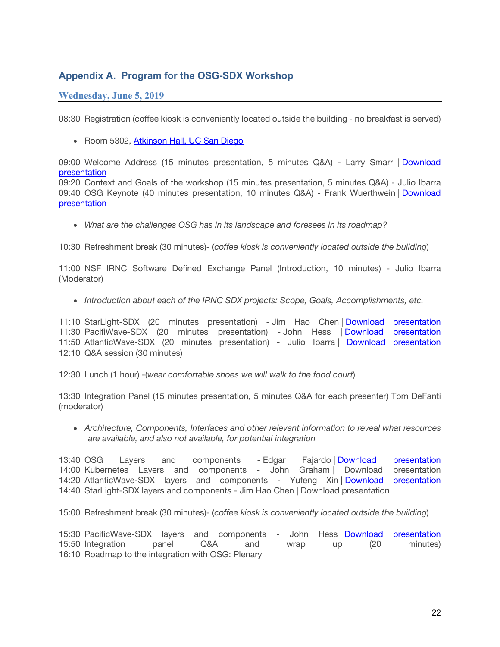## **Appendix A. Program for the OSG-SDX Workshop**

#### **Wednesday, June 5, 2019**

08:30 Registration (coffee kiosk is conveniently located outside the building - no breakfast is served)

• Room 5302, Atkinson Hall, UC San Diego

09:00 Welcome Address (15 minutes presentation, 5 minutes Q&A) - Larry Smarr | Download presentation

09:20 Context and Goals of the workshop (15 minutes presentation, 5 minutes Q&A) - Julio Ibarra 09:40 OSG Keynote (40 minutes presentation, 10 minutes Q&A) - Frank Wuerthwein | Download presentation

• *What are the challenges OSG has in its landscape and foresees in its roadmap?*

10:30 Refreshment break (30 minutes)- (*coffee kiosk is conveniently located outside the building*)

11:00 NSF IRNC Software Defined Exchange Panel (Introduction, 10 minutes) - Julio Ibarra (Moderator)

• *Introduction about each of the IRNC SDX projects: Scope, Goals, Accomplishments, etc.*

11:10 StarLight-SDX (20 minutes presentation) - Jim Hao Chen | Download presentation 11:30 PacifiWave-SDX (20 minutes presentation) - John Hess | Download presentation 11:50 AtlanticWave-SDX (20 minutes presentation) - Julio Ibarra | Download presentation 12:10 Q&A session (30 minutes)

12:30 Lunch (1 hour) -(*wear comfortable shoes we will walk to the food court*)

13:30 Integration Panel (15 minutes presentation, 5 minutes Q&A for each presenter) Tom DeFanti (moderator)

• *Architecture, Components, Interfaces and other relevant information to reveal what resources are available, and also not available, for potential integration*

13:40 OSG Layers and components - Edgar Fajardo | Download presentation 14:00 Kubernetes Layers and components - John Graham | Download presentation 14:20 AtlanticWave-SDX layers and components - Yufeng Xin | Download presentation 14:40 StarLight-SDX layers and components - Jim Hao Chen | Download presentation

15:00 Refreshment break (30 minutes)- (*coffee kiosk is conveniently located outside the building*)

15:30 PacificWave-SDX layers and components - John Hess | Download presentation 15:50 Integration panel Q&A and wrap up (20 minutes) 16:10 Roadmap to the integration with OSG: Plenary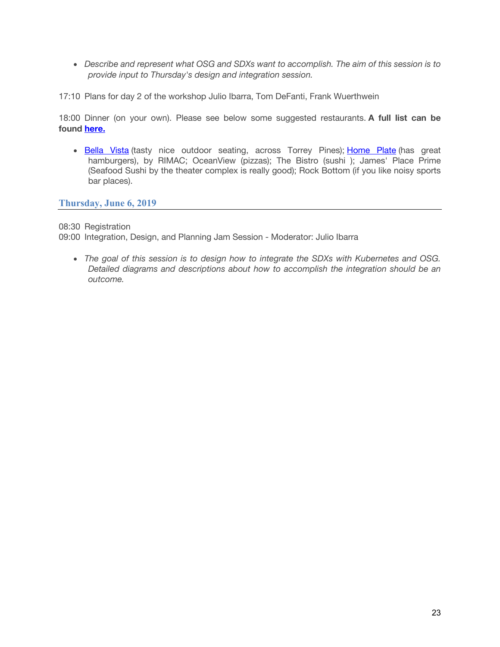• *Describe and represent what OSG and SDXs want to accomplish. The aim of this session is to provide input to Thursday's design and integration session.*

17:10 Plans for day 2 of the workshop Julio Ibarra, Tom DeFanti, Frank Wuerthwein

18:00 Dinner (on your own). Please see below some suggested restaurants. **A full list can be found here.**

• Bella Vista (tasty nice outdoor seating, across Torrey Pines); Home Plate (has great hamburgers), by RIMAC; OceanView (pizzas); The Bistro (sushi ); James' Place Prime (Seafood Sushi by the theater complex is really good); Rock Bottom (if you like noisy sports bar places).

#### **Thursday, June 6, 2019**

08:30 Registration

09:00 Integration, Design, and Planning Jam Session - Moderator: Julio Ibarra

• *The goal of this session is to design how to integrate the SDXs with Kubernetes and OSG. Detailed diagrams and descriptions about how to accomplish the integration should be an outcome.*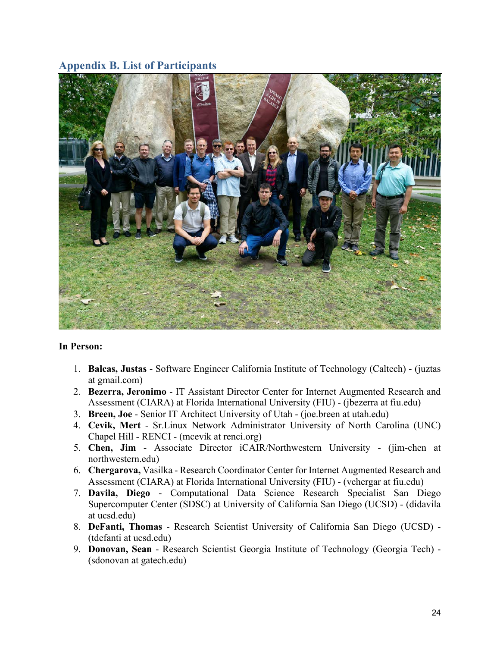## **Appendix B. List of Participants**



#### **In Person:**

- 1. **Balcas, Justas** Software Engineer California Institute of Technology (Caltech) (juztas at gmail.com)
- 2. **Bezerra, Jeronimo** IT Assistant Director Center for Internet Augmented Research and Assessment (CIARA) at Florida International University (FIU) - (jbezerra at fiu.edu)
- 3. **Breen, Joe** Senior IT Architect University of Utah (joe.breen at utah.edu)
- 4. **Cevik, Mert** Sr.Linux Network Administrator University of North Carolina (UNC) Chapel Hill - RENCI - (mcevik at renci.org)
- 5. **Chen, Jim** Associate Director iCAIR/Northwestern University (jim-chen at northwestern.edu)
- 6. **Chergarova,** Vasilka Research Coordinator Center for Internet Augmented Research and Assessment (CIARA) at Florida International University (FIU) - (vchergar at fiu.edu)
- 7. **Davila, Diego** Computational Data Science Research Specialist San Diego Supercomputer Center (SDSC) at University of California San Diego (UCSD) - (didavila at ucsd.edu)
- 8. **DeFanti, Thomas** Research Scientist University of California San Diego (UCSD) (tdefanti at ucsd.edu)
- 9. **Donovan, Sean** Research Scientist Georgia Institute of Technology (Georgia Tech) (sdonovan at gatech.edu)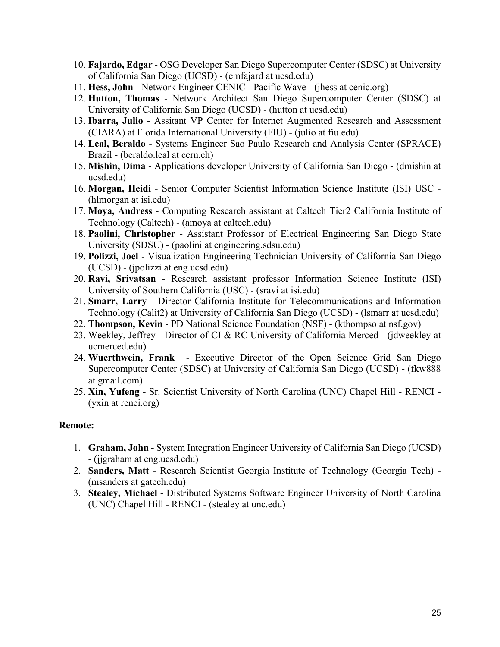- 10. **Fajardo, Edgar** OSG Developer San Diego Supercomputer Center (SDSC) at University of California San Diego (UCSD) - (emfajard at ucsd.edu)
- 11. **Hess, John** Network Engineer CENIC Pacific Wave (jhess at cenic.org)
- 12. **Hutton, Thomas** Network Architect San Diego Supercomputer Center (SDSC) at University of California San Diego (UCSD) - (hutton at ucsd.edu)
- 13. **Ibarra, Julio** Assitant VP Center for Internet Augmented Research and Assessment (CIARA) at Florida International University (FIU) - (julio at fiu.edu)
- 14. **Leal, Beraldo** Systems Engineer Sao Paulo Research and Analysis Center (SPRACE) Brazil - (beraldo.leal at cern.ch)
- 15. **Mishin, Dima** Applications developer University of California San Diego (dmishin at ucsd.edu)
- 16. **Morgan, Heidi** Senior Computer Scientist Information Science Institute (ISI) USC (hlmorgan at isi.edu)
- 17. **Moya, Andress** Computing Research assistant at Caltech Tier2 California Institute of Technology (Caltech) - (amoya at caltech.edu)
- 18. **Paolini, Christopher** Assistant Professor of Electrical Engineering San Diego State University (SDSU) - (paolini at engineering.sdsu.edu)
- 19. **Polizzi, Joel** Visualization Engineering Technician University of California San Diego (UCSD) - (jpolizzi at eng.ucsd.edu)
- 20. **Ravi, Srivatsan** Research assistant professor Information Science Institute (ISI) University of Southern California (USC) - (sravi at isi.edu)
- 21. **Smarr, Larry** Director California Institute for Telecommunications and Information Technology (Calit2) at University of California San Diego (UCSD) - (lsmarr at ucsd.edu)
- 22. **Thompson, Kevin** PD National Science Foundation (NSF) (kthompso at nsf.gov)
- 23. Weekley, Jeffrey Director of CI & RC University of California Merced (jdweekley at ucmerced.edu)
- 24. **Wuerthwein, Frank** Executive Director of the Open Science Grid San Diego Supercomputer Center (SDSC) at University of California San Diego (UCSD) - (fkw888 at gmail.com)
- 25. **Xin, Yufeng** Sr. Scientist University of North Carolina (UNC) Chapel Hill RENCI (yxin at renci.org)

#### **Remote:**

- 1. **Graham, John** System Integration Engineer University of California San Diego (UCSD) - (jjgraham at eng.ucsd.edu)
- 2. **Sanders, Matt** Research Scientist Georgia Institute of Technology (Georgia Tech) (msanders at gatech.edu)
- 3. **Stealey, Michael** Distributed Systems Software Engineer University of North Carolina (UNC) Chapel Hill - RENCI - (stealey at unc.edu)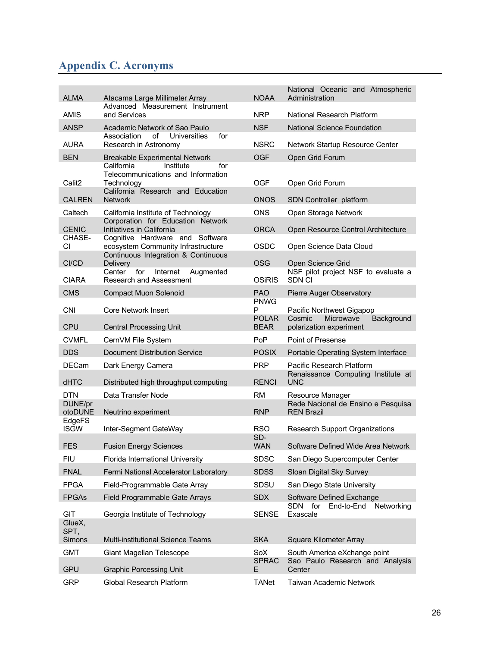## **Appendix C. Acronyms**

| <b>ALMA</b>            | Atacama Large Millimeter Array                                                                                                                                   | <b>NOAA</b>                 | National Oceanic and Atmospheric<br>Administration               |
|------------------------|------------------------------------------------------------------------------------------------------------------------------------------------------------------|-----------------------------|------------------------------------------------------------------|
| <b>AMIS</b>            | Advanced Measurement Instrument<br>and Services                                                                                                                  | <b>NRP</b>                  | National Research Platform                                       |
| <b>ANSP</b>            | Academic Network of Sao Paulo<br>Association<br>of<br>Universities<br>for                                                                                        | <b>NSF</b>                  | National Science Foundation                                      |
| <b>AURA</b>            | Research in Astronomy                                                                                                                                            | <b>NSRC</b>                 | Network Startup Resource Center                                  |
| <b>BEN</b>             | <b>Breakable Experimental Network</b><br>California<br>for<br>Institute<br>Telecommunications and Information<br>Technology<br>California Research and Education | <b>OGF</b>                  | Open Grid Forum                                                  |
| Calit <sub>2</sub>     |                                                                                                                                                                  | <b>OGF</b>                  | Open Grid Forum                                                  |
| <b>CALREN</b>          | <b>Network</b>                                                                                                                                                   | <b>ONOS</b>                 | SDN Controller platform                                          |
| Caltech                | California Institute of Technology                                                                                                                               | <b>ONS</b>                  | Open Storage Network                                             |
| <b>CENIC</b><br>CHASE- | Corporation for Education Network<br>Initiatives in California<br>Cognitive Hardware and Software                                                                | <b>ORCA</b>                 | Open Resource Control Architecture                               |
| <b>CI</b>              | ecosystem Community Infrastructure<br>Continuous Integration & Continuous                                                                                        | <b>OSDC</b>                 | Open Science Data Cloud                                          |
| CI/CD                  | <b>Delivery</b>                                                                                                                                                  | <b>OSG</b>                  | Open Science Grid                                                |
| <b>CIARA</b>           | for<br>Center<br>Internet<br>Augmented<br><b>Research and Assessment</b>                                                                                         | <b>OSIRIS</b>               | NSF pilot project NSF to evaluate a<br>SDN CI                    |
| <b>CMS</b>             | <b>Compact Muon Solenoid</b>                                                                                                                                     | <b>PAO</b>                  | Pierre Auger Observatory                                         |
| <b>CNI</b>             | <b>Core Network Insert</b>                                                                                                                                       | <b>PNWG</b><br>P            | Pacific Northwest Gigapop                                        |
| <b>CPU</b>             | <b>Central Processing Unit</b>                                                                                                                                   | <b>POLAR</b><br><b>BEAR</b> | Cosmic<br>Microwave<br>Background<br>polarization experiment     |
| <b>CVMFL</b>           | CernVM File System                                                                                                                                               | <b>PoP</b>                  | Point of Presense                                                |
| <b>DDS</b>             | <b>Document Distribution Service</b>                                                                                                                             | <b>POSIX</b>                | Portable Operating System Interface                              |
| <b>DECam</b>           | Dark Energy Camera                                                                                                                                               | <b>PRP</b>                  | Pacific Research Platform                                        |
| dHTC                   | Distributed high throughput computing                                                                                                                            | <b>RENCI</b>                | Renaissance Computing Institute at<br><b>UNC</b>                 |
| DTN.                   | Data Transfer Node                                                                                                                                               | RM.                         | Resource Manager                                                 |
| DUNE/pr<br>otoDUNE     | Neutrino experiment                                                                                                                                              | <b>RNP</b>                  | Rede Nacional de Ensino e Pesquisa<br><b>REN Brazil</b>          |
| EdgeFS<br><b>ISGW</b>  | Inter-Segment GateWay                                                                                                                                            | <b>RSO</b><br>SD-           | <b>Research Support Organizations</b>                            |
| <b>FES</b>             | <b>Fusion Energy Sciences</b>                                                                                                                                    | <b>WAN</b>                  | Software Defined Wide Area Network                               |
| <b>FIU</b>             | Florida International University                                                                                                                                 | <b>SDSC</b>                 | San Diego Supercomputer Center                                   |
| <b>FNAL</b>            | Fermi National Accelerator Laboratory                                                                                                                            | <b>SDSS</b>                 | Sloan Digital Sky Survey                                         |
| <b>FPGA</b>            | Field-Programmable Gate Array                                                                                                                                    | SDSU                        | San Diego State University                                       |
| <b>FPGAs</b>           | Field Programmable Gate Arrays                                                                                                                                   | <b>SDX</b>                  | Software Defined Exchange<br>SDN<br>for<br>End-to-End Networking |
| GIT<br>GlueX,<br>SPT,  | Georgia Institute of Technology                                                                                                                                  | <b>SENSE</b>                | Exascale                                                         |
| <b>Simons</b>          | <b>Multi-institutional Science Teams</b>                                                                                                                         | <b>SKA</b>                  | Square Kilometer Array                                           |
| <b>GMT</b>             | Giant Magellan Telescope                                                                                                                                         | SoX                         | South America eXchange point                                     |
| <b>GPU</b>             | <b>Graphic Porcessing Unit</b>                                                                                                                                   | <b>SPRAC</b><br>E.          | Sao Paulo Research and Analysis<br>Center                        |
| <b>GRP</b>             | <b>Global Research Platform</b>                                                                                                                                  | <b>TANet</b>                | <b>Taiwan Academic Network</b>                                   |